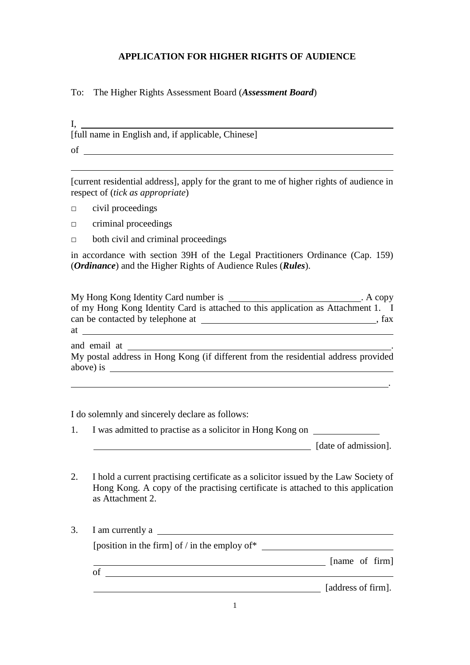## **APPLICATION FOR HIGHER RIGHTS OF AUDIENCE**

To: The Higher Rights Assessment Board (*Assessment Board*)

I, [full name in English and, if applicable, Chinese] of

[current residential address], apply for the grant to me of higher rights of audience in respect of (*tick as appropriate*)

□ civil proceedings

 $\overline{a}$ 

- □ criminal proceedings
- □ both civil and criminal proceedings

in accordance with section 39H of the Legal Practitioners Ordinance (Cap. 159) (*Ordinance*) and the Higher Rights of Audience Rules (*Rules*).

My Hong Kong Identity Card number is . A copy of my Hong Kong Identity Card is attached to this application as Attachment 1. I can be contacted by telephone at  $\overline{\phantom{a}}$ , fax at <u>example and the set of the set of the set of the set of the set of the set of the set of the set of the set of the set of the set of the set of the set of the set of the set of the set of the set of the set of the set </u>

and email at

My postal address in Hong Kong (if different from the residential address provided above) is

I do solemnly and sincerely declare as follows:

1. I was admitted to practise as a solicitor in Hong Kong on

**Example 2** [date of admission].

- 2. I hold a current practising certificate as a solicitor issued by the Law Society of Hong Kong. A copy of the practising certificate is attached to this application as Attachment 2.
- 3. I am currently a

[position in the firm] of / in the employ of\*

[name of firm]

of

**EXECUTE:** [address of firm].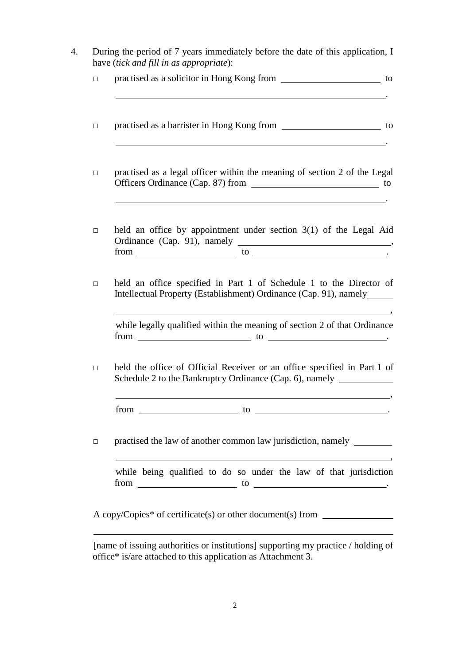| $\Box$ | practised as a solicitor in Hong Kong from ________________________ to                                                                                                                              |
|--------|-----------------------------------------------------------------------------------------------------------------------------------------------------------------------------------------------------|
| $\Box$ | practised as a barrister in Hong Kong from _______________________ to<br><u> 1980 - Jan Samuel Barbara, martin di seria di seria del seria del seria del seria del seria del seria del s</u>        |
| $\Box$ | practised as a legal officer within the meaning of section 2 of the Legal                                                                                                                           |
| $\Box$ | held an office by appointment under section $3(1)$ of the Legal Aid<br>$from$ $\qquad \qquad$ to $\qquad \qquad$                                                                                    |
| $\Box$ | held an office specified in Part 1 of Schedule 1 to the Director of                                                                                                                                 |
|        |                                                                                                                                                                                                     |
|        | Intellectual Property (Establishment) Ordinance (Cap. 91), namely______<br>while legally qualified within the meaning of section 2 of that Ordinance<br>$from$ $\qquad \qquad$ to $\qquad \qquad$ . |
| $\Box$ | held the office of Official Receiver or an office specified in Part 1 of<br>Schedule 2 to the Bankruptcy Ordinance (Cap. 6), namely _________________________                                       |
|        | $from \_\_\_\_\_$ to $\_\_\_\_\_\_\_\_\_$ .                                                                                                                                                         |
| $\Box$ | practised the law of another common law jurisdiction, namely _______                                                                                                                                |

[name of issuing authorities or institutions] supporting my practice / holding of office\* is/are attached to this application as Attachment 3.

 $\overline{a}$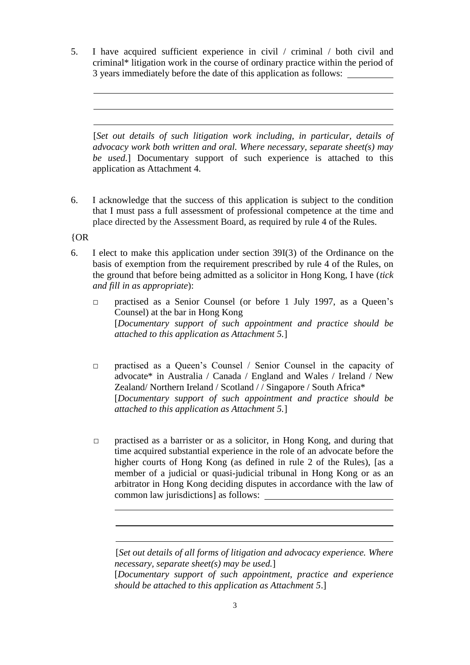5. I have acquired sufficient experience in civil / criminal / both civil and criminal\* litigation work in the course of ordinary practice within the period of 3 years immediately before the date of this application as follows:

[*Set out details of such litigation work including, in particular, details of advocacy work both written and oral. Where necessary, separate sheet(s) may be used.*] Documentary support of such experience is attached to this application as Attachment 4.

6. I acknowledge that the success of this application is subject to the condition that I must pass a full assessment of professional competence at the time and place directed by the Assessment Board, as required by rule 4 of the Rules.

{OR

 $\overline{a}$ l l

 $\overline{a}$ 

- 6. I elect to make this application under section 39I(3) of the Ordinance on the basis of exemption from the requirement prescribed by rule 4 of the Rules, on the ground that before being admitted as a solicitor in Hong Kong, I have (*tick and fill in as appropriate*):
	- □ practised as a Senior Counsel (or before 1 July 1997, as a Queen's Counsel) at the bar in Hong Kong [*Documentary support of such appointment and practice should be attached to this application as Attachment 5.*]
	- □ practised as a Queen's Counsel / Senior Counsel in the capacity of advocate\* in Australia / Canada / England and Wales / Ireland / New Zealand/ Northern Ireland / Scotland / / Singapore / South Africa\* [*Documentary support of such appointment and practice should be attached to this application as Attachment 5.*]
	- □ practised as a barrister or as a solicitor, in Hong Kong, and during that time acquired substantial experience in the role of an advocate before the higher courts of Hong Kong (as defined in rule 2 of the Rules), [as a member of a judicial or quasi-judicial tribunal in Hong Kong or as an arbitrator in Hong Kong deciding disputes in accordance with the law of common law jurisdictions] as follows:

<sup>[</sup>*Set out details of all forms of litigation and advocacy experience. Where necessary, separate sheet(s) may be used.*]

<sup>[</sup>*Documentary support of such appointment, practice and experience should be attached to this application as Attachment 5*.]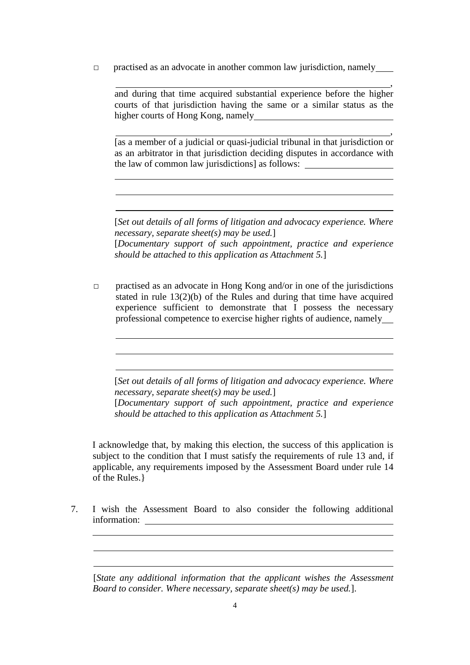$\Box$  practised as an advocate in another common law jurisdiction, namely

and during that time acquired substantial experience before the higher courts of that jurisdiction having the same or a similar status as the higher courts of Hong Kong, namely

,

[as a member of a judicial or quasi-judicial tribunal in that jurisdiction or as an arbitrator in that jurisdiction deciding disputes in accordance with the law of common law jurisdictions] as follows:

 $\overline{a}$  $\overline{a}$  $\overline{a}$ 

> $\overline{a}$  $\overline{a}$  $\overline{a}$

l  $\overline{a}$  $\overline{a}$  ,

[*Set out details of all forms of litigation and advocacy experience. Where necessary, separate sheet(s) may be used.*] [*Documentary support of such appointment, practice and experience should be attached to this application as Attachment 5.*]

 $\Box$  practised as an advocate in Hong Kong and/or in one of the jurisdictions stated in rule 13(2)(b) of the Rules and during that time have acquired experience sufficient to demonstrate that I possess the necessary professional competence to exercise higher rights of audience, namely

[*Set out details of all forms of litigation and advocacy experience. Where necessary, separate sheet(s) may be used.*]

[*Documentary support of such appointment, practice and experience should be attached to this application as Attachment 5.*]

I acknowledge that, by making this election, the success of this application is subject to the condition that I must satisfy the requirements of rule 13 and, if applicable, any requirements imposed by the Assessment Board under rule 14 of the Rules.}

7. I wish the Assessment Board to also consider the following additional information:

[*State any additional information that the applicant wishes the Assessment Board to consider. Where necessary, separate sheet(s) may be used.*].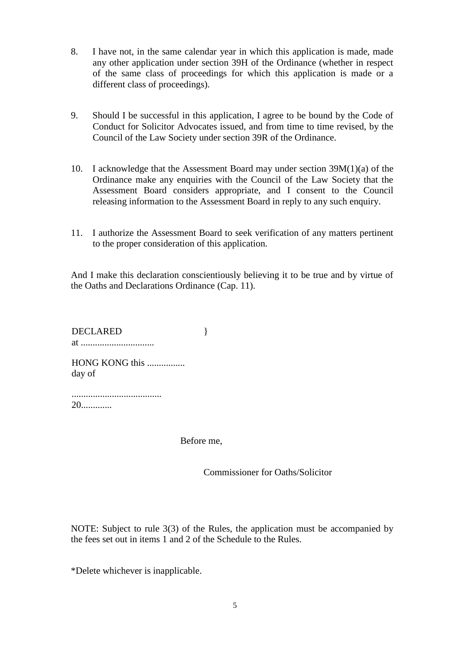- 8. I have not, in the same calendar year in which this application is made, made any other application under section 39H of the Ordinance (whether in respect of the same class of proceedings for which this application is made or a different class of proceedings).
- 9. Should I be successful in this application, I agree to be bound by the Code of Conduct for Solicitor Advocates issued, and from time to time revised, by the Council of the Law Society under section 39R of the Ordinance.
- 10. I acknowledge that the Assessment Board may under section 39M(1)(a) of the Ordinance make any enquiries with the Council of the Law Society that the Assessment Board considers appropriate, and I consent to the Council releasing information to the Assessment Board in reply to any such enquiry.
- 11. I authorize the Assessment Board to seek verification of any matters pertinent to the proper consideration of this application.

And I make this declaration conscientiously believing it to be true and by virtue of the Oaths and Declarations Ordinance (Cap. 11).

DECLARED at ...............................

HONG KONG this ................ day of

...................................... 20.............

Before me,

}

Commissioner for Oaths/Solicitor

NOTE: Subject to rule 3(3) of the Rules, the application must be accompanied by the fees set out in items 1 and 2 of the Schedule to the Rules.

\*Delete whichever is inapplicable.